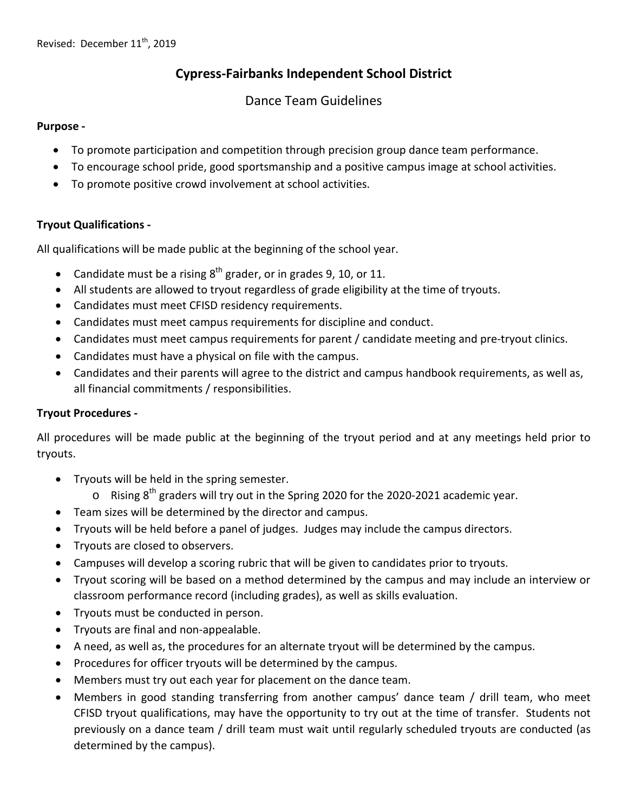# **Cypress-Fairbanks Independent School District**

## Dance Team Guidelines

#### **Purpose -**

- To promote participation and competition through precision group dance team performance.
- To encourage school pride, good sportsmanship and a positive campus image at school activities.
- To promote positive crowd involvement at school activities.

## **Tryout Qualifications -**

All qualifications will be made public at the beginning of the school year.

- Candidate must be a rising  $8<sup>th</sup>$  grader, or in grades 9, 10, or 11.
- All students are allowed to tryout regardless of grade eligibility at the time of tryouts.
- Candidates must meet CFISD residency requirements.
- Candidates must meet campus requirements for discipline and conduct.
- Candidates must meet campus requirements for parent / candidate meeting and pre-tryout clinics.
- Candidates must have a physical on file with the campus.
- Candidates and their parents will agree to the district and campus handbook requirements, as well as, all financial commitments / responsibilities.

## **Tryout Procedures -**

All procedures will be made public at the beginning of the tryout period and at any meetings held prior to tryouts.

- Tryouts will be held in the spring semester.
	- $\circ$  Rising 8<sup>th</sup> graders will try out in the Spring 2020 for the 2020-2021 academic year.
- Team sizes will be determined by the director and campus.
- Tryouts will be held before a panel of judges. Judges may include the campus directors.
- Tryouts are closed to observers.
- Campuses will develop a scoring rubric that will be given to candidates prior to tryouts.
- Tryout scoring will be based on a method determined by the campus and may include an interview or classroom performance record (including grades), as well as skills evaluation.
- Tryouts must be conducted in person.
- Tryouts are final and non-appealable.
- A need, as well as, the procedures for an alternate tryout will be determined by the campus.
- Procedures for officer tryouts will be determined by the campus.
- Members must try out each year for placement on the dance team.
- Members in good standing transferring from another campus' dance team / drill team, who meet CFISD tryout qualifications, may have the opportunity to try out at the time of transfer. Students not previously on a dance team / drill team must wait until regularly scheduled tryouts are conducted (as determined by the campus).